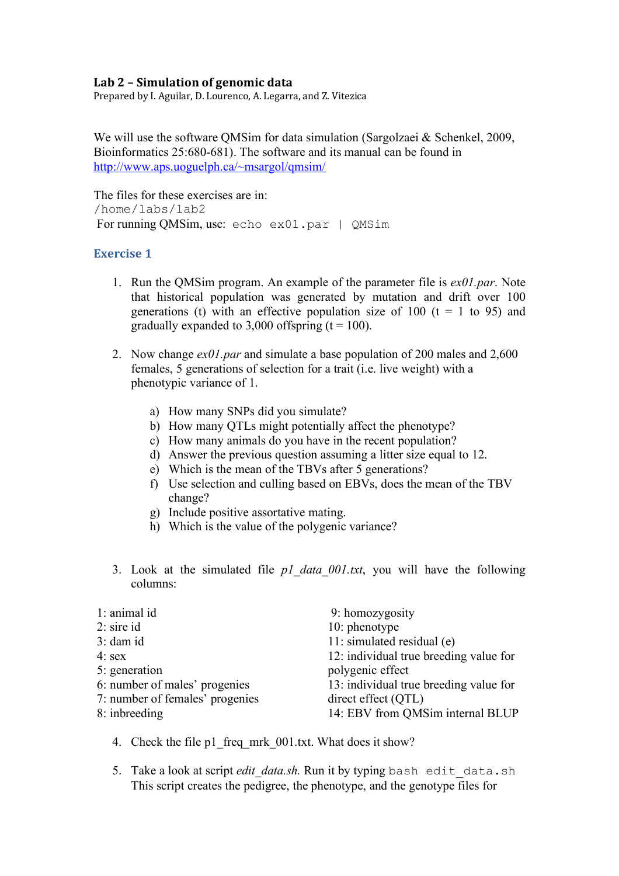## Lab 2 - Simulation of genomic data

Prepared by I. Aguilar, D. Lourenco, A. Legarra, and Z. Vitezica

We will use the software QMSim for data simulation (Sargolzaei & Schenkel, 2009, Bioinformatics 25:680-681). The software and its manual can be found in http://www.aps.uoguelph.ca/~msargol/qmsim/

The files for these exercises are in: /home/labs/lab2 For running QMSim, use: echo ex01.par | QMSim

## **Exercise 1**

- 1. Run the QMSim program. An example of the parameter file is *ex01.par*. Note that historical population was generated by mutation and drift over 100 generations (t) with an effective population size of 100 ( $t = 1$  to 95) and gradually expanded to 3,000 offspring  $(t = 100)$ .
- 2. Now change *ex01.par* and simulate a base population of 200 males and 2,600 females, 5 generations of selection for a trait (i.e. live weight) with a phenotypic variance of 1.
	- a) How many SNPs did you simulate?
	- b) How many QTLs might potentially affect the phenotype?
	- c) How many animals do you have in the recent population?
	- d) Answer the previous question assuming a litter size equal to 12.
	- e) Which is the mean of the TBVs after 5 generations?
	- f) Use selection and culling based on EBVs, does the mean of the TBV change?
	- g) Include positive assortative mating.
	- h) Which is the value of the polygenic variance?
- 3. Look at the simulated file *p1\_data\_001.txt*, you will have the following columns:

| 1: animal id                    | 9: homozygosity                        |
|---------------------------------|----------------------------------------|
| $2:$ sire id                    | 10: phenotype                          |
| $3:$ dam id                     | 11: simulated residual (e)             |
| $4:$ sex                        | 12: individual true breeding value for |
| 5: generation                   | polygenic effect                       |
| 6: number of males' progenies   | 13: individual true breeding value for |
| 7: number of females' progenies | direct effect (QTL)                    |
| 8: inbreeding                   | 14: EBV from QMSim internal BLUP       |

- 4. Check the file p1 freq mrk 001.txt. What does it show?
- 5. Take a look at script *edit data.sh.* Run it by typing bash edit data.sh This script creates the pedigree, the phenotype, and the genotype files for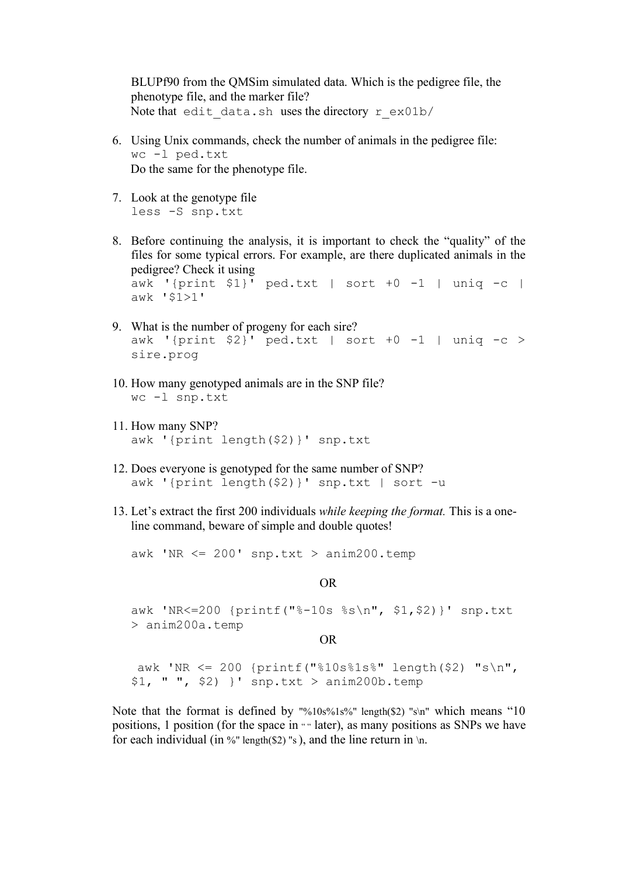BLUPf90 from the QMSim simulated data. Which is the pedigree file, the phenotype file, and the marker file? Note that edit data.sh uses the directory r\_ex01b/

- 6. Using Unix commands, check the number of animals in the pedigree file: wc -l ped.txt Do the same for the phenotype file.
- 7. Look at the genotype file less -S snp.txt
- 8. Before continuing the analysis, it is important to check the "quality" of the files for some typical errors. For example, are there duplicated animals in the pedigree? Check it using awk '{print \$1}' ped.txt | sort +0 -1 | uniq -c | awk '\$1>1'
- 9. What is the number of progeny for each sire? awk '{print  $$2$ }' ped.txt | sort +0 -1 | uniq -c > sire.prog
- 10. How many genotyped animals are in the SNP file? wc -l snp.txt
- 11. How many SNP? awk '{print length(\$2)}' snp.txt
- 12. Does everyone is genotyped for the same number of SNP? awk '{print length(\$2)}' snp.txt | sort -u
- 13. Let's extract the first 200 individuals *while keeping the format.* This is a oneline command, beware of simple and double quotes!

awk 'NR  $\leq$  200' snp.txt > anim200.temp

OR

awk 'NR<=200 {printf("%-10s %s\n", \$1,\$2)}' snp.txt > anim200a.temp

OR

awk 'NR <= 200 {printf("%10s%1s%" length(\$2) "s\n", \$1, " ", \$2) }' snp.txt > anim200b.temp

Note that the format is defined by "%10s%1s%" length(\$2) "s\n" which means "10 positions, 1 position (for the space in "" later), as many positions as SNPs we have for each individual (in %" length(\$2) "s), and the line return in  $\ln$ .